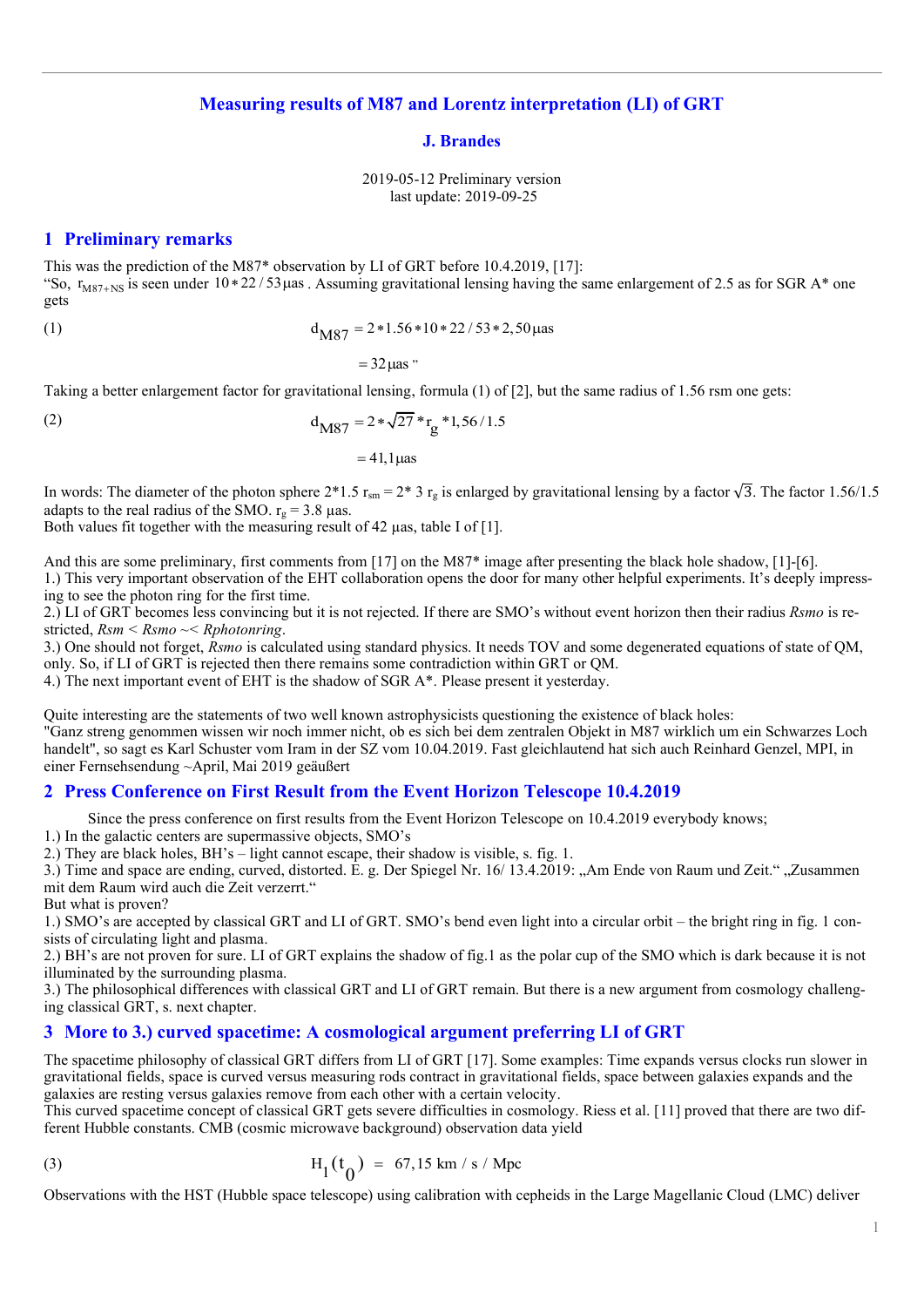## **Measuring results of M87 and Lorentz interpretation (LI) of GRT**

#### **J. Brandes**

2019-05-12 Preliminary version last update: 2019-09-25

#### **1 Preliminary remarks**

This was the prediction of the M87\* observation by LI of GRT before 10.4.2019, [17]: "So,  $r_{M87+NS}$  is seen under 10 \* 22 / 53 µas . Assuming gravitational lensing having the same enlargement of 2.5 as for SGR A\* one gets

(1) 
$$
d_{\text{M87}} = 2 * 1.56 * 10 * 22 / 53 * 2,50 \,\mu \text{as}
$$

 $= 32$  uas "

Taking a better enlargement factor for gravitational lensing, formula  $(1)$  of  $[2]$ , but the same radius of 1.56 rsm one gets:

(2) 
$$
d_{\text{M87}} = 2 * \sqrt{27} * r_g * 1,56/1.5
$$

 $= 41.1$  uas

In words: The diameter of the photon sphere 2\*1.5  $r_{\rm sm} = 2*3$   $r_{\rm g}$  is enlarged by gravitational lensing by a factor  $\sqrt{3}$ . The factor 1.56/1.5 adapts to the real radius of the SMO.  $r_g = 3.8 \text{ }\mu\text{as.}$ 

Both values fit together with the measuring result of 42 µas, table I of [1].

And this are some preliminary, first comments from [17] on the M87\* image after presenting the black hole shadow, [1]-[6]. 1.) This very important observation of the EHT collaboration opens the door for many other helpful experiments. It's deeply impressing to see the photon ring for the first time.

2.) LI of GRT becomes less convincing but it is not rejected. If there are SMO's without event horizon then their radius *Rsmo* is restricted, *Rsm < Rsmo ~< Rphotonring*.

3.) One should not forget, *Rsmo* is calculated using standard physics. It needs TOV and some degenerated equations of state of QM, only. So, if LI of GRT is rejected then there remains some contradiction within GRT or QM.

4.) The next important event of EHT is the shadow of SGR A\*. Please present it yesterday.

Quite interesting are the statements of two well known astrophysicists questioning the existence of black holes: "Ganz streng genommen wissen wir noch immer nicht, ob es sich bei dem zentralen Objekt in M87 wirklich um ein Schwarzes Loch handelt", so sagt es Karl Schuster vom Iram in der SZ vom 10.04.2019. Fast gleichlautend hat sich auch Reinhard Genzel, MPI, in einer Fernsehsendung ~April, Mai 2019 geäußert

### **2 Press Conference on First Result from the Event Horizon Telescope 10.4.2019**

Since the press conference on first results from the Event Horizon Telescope on 10.4.2019 everybody knows;

1.) In the galactic centers are supermassive objects, SMO's

2.) They are black holes, BH's – light cannot escape, their shadow is visible, s. fig. 1.

3.) Time and space are ending, curved, distorted. E. g. Der Spiegel Nr. 16/ 13.4.2019: "Am Ende von Raum und Zeit." "Zusammen mit dem Raum wird auch die Zeit verzerrt."

But what is proven?

1.) SMO's are accepted by classical GRT and LI of GRT. SMO's bend even light into a circular orbit – the bright ring in fig. 1 consists of circulating light and plasma.

2.) BH's are not proven for sure. LI of GRT explains the shadow of fig.1 as the polar cup of the SMO which is dark because it is not illuminated by the surrounding plasma.

3.) The philosophical differences with classical GRT and LI of GRT remain. But there is a new argument from cosmology challenging classical GRT, s. next chapter.

### **3 More to 3.) curved spacetime: A cosmological argument preferring LI of GRT**

The spacetime philosophy of classical GRT differs from LI of GRT [17]. Some examples: Time expands versus clocks run slower in gravitational fields, space is curved versus measuring rods contract in gravitational fields, space between galaxies expands and the galaxies are resting versus galaxies remove from each other with a certain velocity.

This curved spacetime concept of classical GRT gets severe difficulties in cosmology. Riess et al. [11] proved that there are two different Hubble constants. CMB (cosmic microwave background) observation data yield

(3) 
$$
H_1(t_0) = 67,15 \text{ km/s} / \text{Mpc}
$$

Observations with the HST (Hubble space telescope) using calibration with cepheids in the Large Magellanic Cloud (LMC) deliver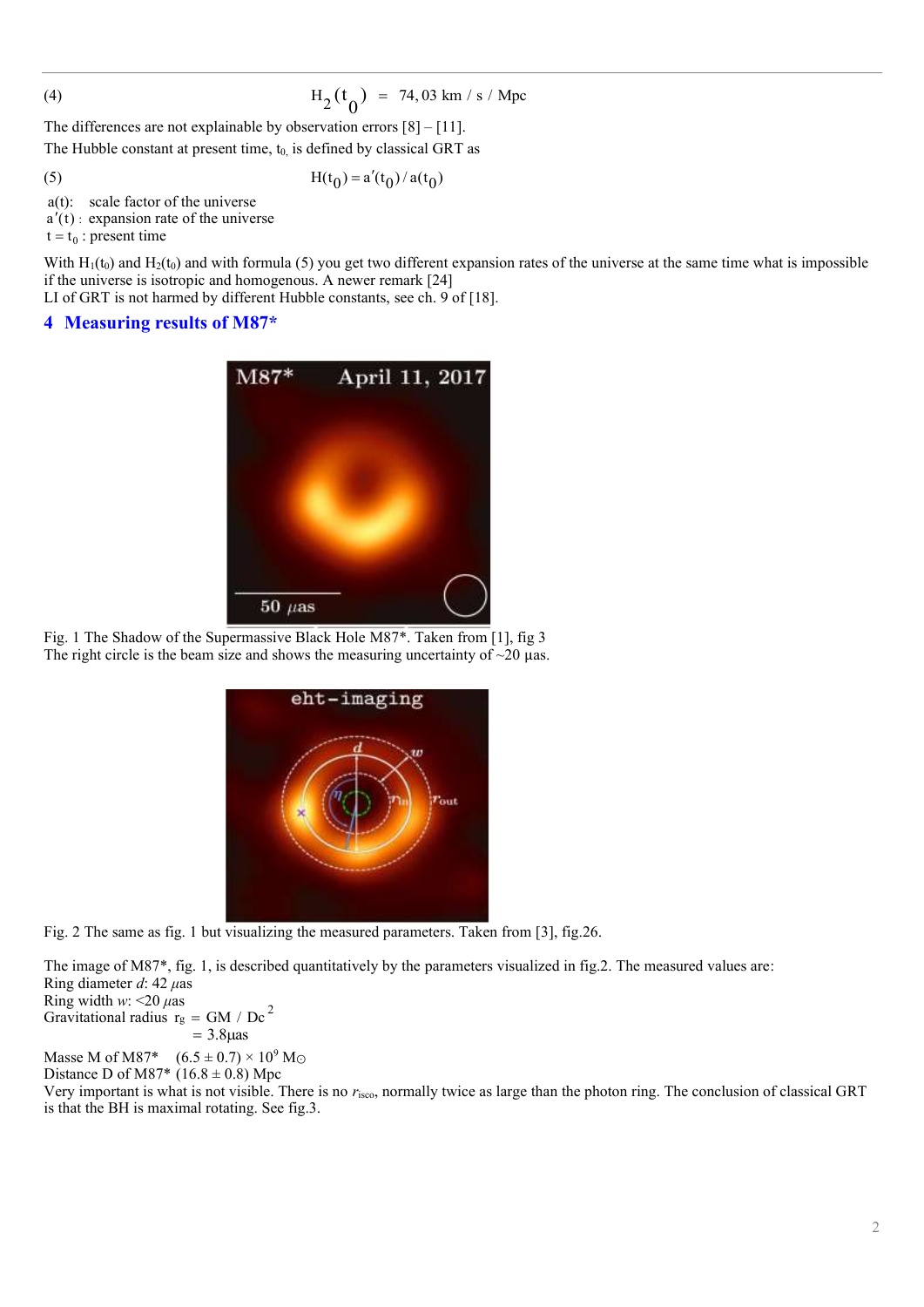$$
(\mathbf{4})
$$

$$
H_2(t_0) = 74.03 \text{ km/s} / \text{Mpc}
$$

The differences are not explainable by observation errors  $[8] - [11]$ .

The Hubble constant at present time,  $t_0$  is defined by classical GRT as

(5)

$$
H(t_0) = a'(t_0) / a(t_0)
$$

a(t): scale factor of the universe

 $a'(t)$ : expansion rate of the universe

 $t = t_0$ : present time

With  $H_1(t_0)$  and  $H_2(t_0)$  and with formula (5) you get two different expansion rates of the universe at the same time what is impossible if the universe is isotropic and homogenous. A newer remark [24]

LI of GRT is not harmed by different Hubble constants, see ch. 9 of [18].

## **4 Measuring results of M87\***



Fig. 1 The Shadow of the Supermassive Black Hole M87\*. Taken from [1], fig 3 The right circle is the beam size and shows the measuring uncertainty of  $\sim$ 20  $\mu$ as.



Fig. 2 The same as fig. 1 but visualizing the measured parameters. Taken from [3], fig.26.

The image of M87\*, fig. 1, is described quantitatively by the parameters visualized in fig.2. The measured values are: Ring diameter *d*: 42 *μ*as Ring width *w*: <20 *μ*as

Gravitational radius  $r_g = GM / Dc^2$ 

 $= 3.8 \mu$ as

Masse M of M87\*  $(6.5 \pm 0.7) \times 10^9$  M<sub>O</sub>

Distance D of M87\* (16.8  $\pm$  0.8) Mpc

Very important is what is not visible. There is no *r*isco, normally twice as large than the photon ring. The conclusion of classical GRT is that the BH is maximal rotating. See fig.3.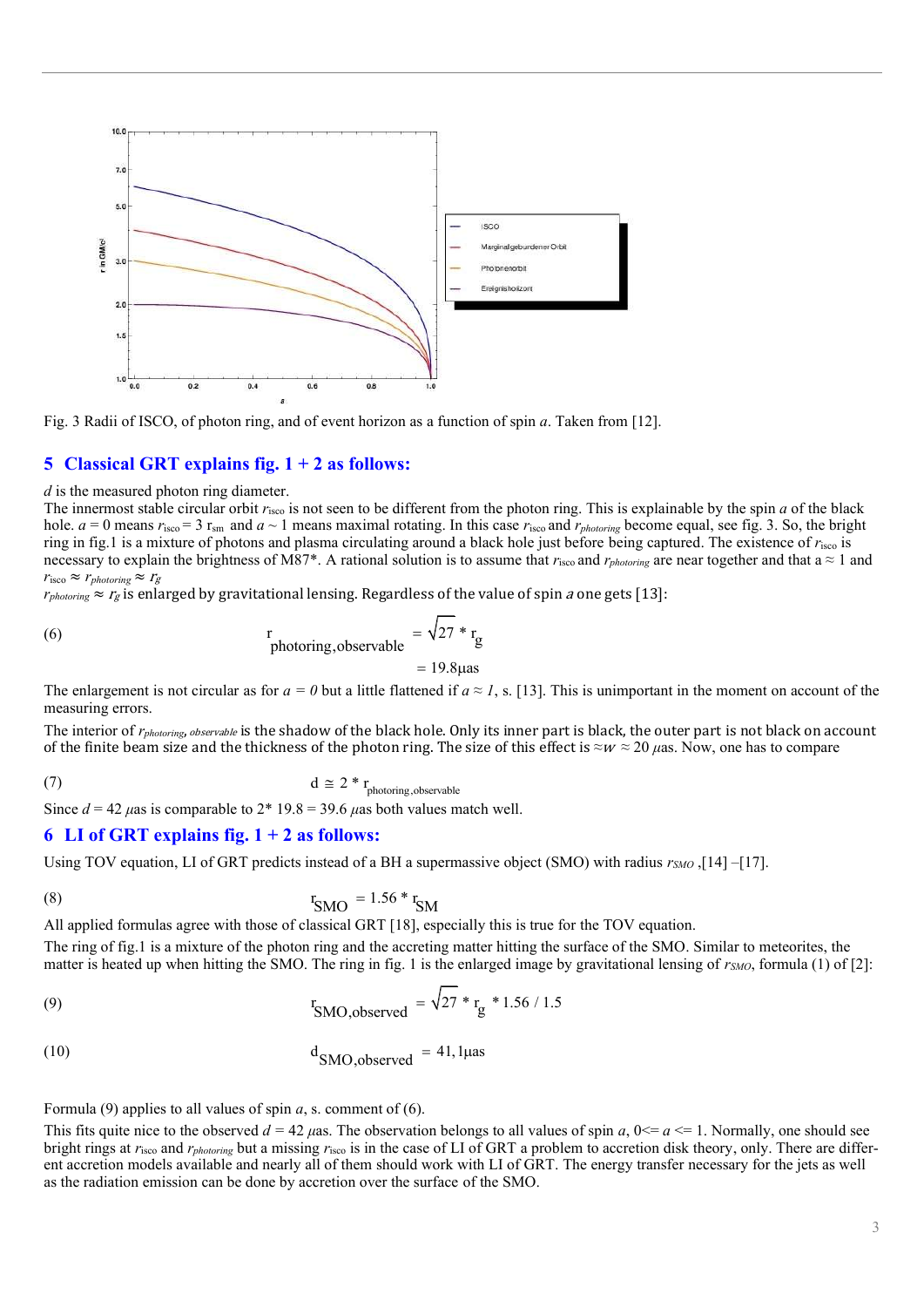

Fig. 3 Radii of ISCO, of photon ring, and of event horizon as a function of spin *a*. Taken from [12].

### **5 Classical GRT explains fig. 1 + 2 as follows:**

*d* is the measured photon ring diameter.

The innermost stable circular orbit *r*isco is not seen to be different from the photon ring. This is explainable by the spin *a* of the black hole.  $a = 0$  means  $r_{\text{isco}} = 3$   $r_{\text{sm}}$  and  $a \sim 1$  means maximal rotating. In this case  $r_{\text{isco}}$  and  $r_{\text{photoning}}$  become equal, see fig. 3. So, the bright ring in fig.1 is a mixture of photons and plasma circulating around a black hole just before being captured. The existence of *r*isco is necessary to explain the brightness of M87<sup>\*</sup>. A rational solution is to assume that  $r_{\text{isco}}$  and  $r_{photoring}$  are near together and that a  $\approx 1$  and  $r_{\rm isco} \approx r_{photoring} \approx r_g$ 

 $r_{photoring} \approx r_g$  is enlarged by gravitational lensing. Regardless of the value of spin *a* one gets [13]:

(6) 
$$
\frac{r}{\text{photoring,} \text{observed}} = \sqrt{27} * r_g
$$

 $= 19.8$ uas

The enlargement is not circular as for  $a = 0$  but a little flattened if  $a \approx 1$ , s. [13]. This is unimportant in the moment on account of the measuring errors.

The interior of *rphotoring*, observable is the shadow of the black hole. Only its inner part is black, the outer part is not black on account of the finite beam size and the thickness of the photon ring. The size of this effect is *≈*<sup>w</sup> *≈* 20 *μ*as. Now, one has to compare

(7)  $d \cong 2 * r$ <sub>photoring,observable</sub>

Since  $d = 42 \mu$ as is comparable to  $2 \times 19.8 = 39.6 \mu$ as both values match well.

#### **6 LI of GRT explains fig. 1 + 2 as follows:**

Using TOV equation, LI of GRT predicts instead of a BH a supermassive object (SMO) with radius *rSMO* ,[14] –[17].

(8) 
$$
r_{\text{SMO}} = 1.56 \cdot r_{\text{SM}}
$$

All applied formulas agree with those of classical GRT [18], especially this is true for the TOV equation.

The ring of fig.1 is a mixture of the photon ring and the accreting matter hitting the surface of the SMO. Similar to meteorites, the matter is heated up when hitting the SMO. The ring in fig. 1 is the enlarged image by gravitational lensing of *rSMO*, formula (1) of [2]:

(9) 
$$
r_{\text{SMO,observed}} = \sqrt{27} * r_{\text{g}} * 1.56 / 1.5
$$

$$
d_{\text{SMO},\text{observed}} = 41,1\mu\text{as}
$$

Formula (9) applies to all values of spin *a*, s. comment of (6).

This fits quite nice to the observed  $d = 42 \mu$ as. The observation belongs to all values of spin *a*,  $0 \le a \le 1$ . Normally, one should see bright rings at  $r_{\text{isco}}$  and  $r_{\text{photoring}}$  but a missing  $r_{\text{isco}}$  is in the case of LI of GRT a problem to accretion disk theory, only. There are different accretion models available and nearly all of them should work with LI of GRT. The energy transfer necessary for the jets as well as the radiation emission can be done by accretion over the surface of the SMO.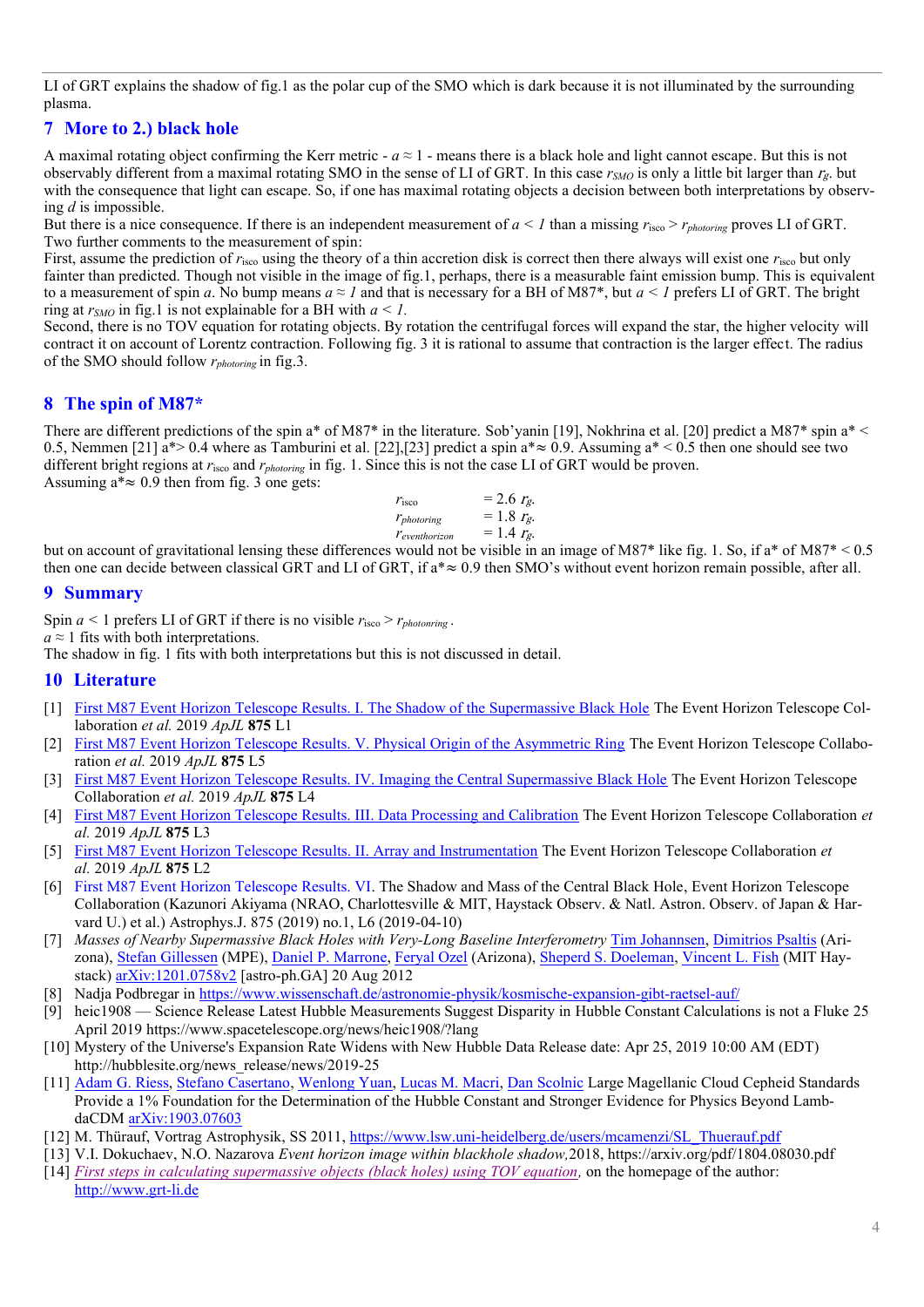LI of GRT explains the shadow of fig.1 as the polar cup of the SMO which is dark because it is not illuminated by the surrounding plasma.

# **7 More to 2.) black hole**

A maximal rotating object confirming the Kerr metric  $-a \approx 1$  - means there is a black hole and light cannot escape. But this is not observably different from a maximal rotating SMO in the sense of LI of GRT. In this case  $r_{SMO}$  is only a little bit larger than  $r_g$  but with the consequence that light can escape. So, if one has maximal rotating objects a decision between both interpretations by observing *d* is impossible.

But there is a nice consequence. If there is an independent measurement of  $a < 1$  than a missing  $r_{\text{isco}} > r_{photoning}$  proves LI of GRT. Two further comments to the measurement of spin:

First, assume the prediction of  $r_{\text{isco}}$  using the theory of a thin accretion disk is correct then there always will exist one  $r_{\text{isco}}$  but only fainter than predicted. Though not visible in the image of fig.1, perhaps, there is a measurable faint emission bump. This is equivalent to a measurement of spin *a*. No bump means  $a \approx 1$  and that is necessary for a BH of M87\*, but  $a \le 1$  prefers LI of GRT. The bright ring at  $r_{SMO}$  in fig.1 is not explainable for a BH with  $a \leq 1$ .

Second, there is no TOV equation for rotating objects. By rotation the centrifugal forces will expand the star, the higher velocity will contract it on account of Lorentz contraction. Following fig. 3 it is rational to assume that contraction is the larger effect. The radius of the SMO should follow *rphotoring* in fig.3.

# **8 The spin of M87\***

There are different predictions of the spin a\* of M87\* in the literature. Sob'yanin [19], Nokhrina et al. [20] predict a M87\* spin a\* < 0.5, Nemmen [21] a\*> 0.4 where as Tamburini et al. [22], [23] predict a spin a\*  $\approx$  0.9. Assuming a\*  $\lt$  0.5 then one should see two different bright regions at *r*isco and *rphotoring* in fig. 1. Since this is not the case LI of GRT would be proven. Assuming  $a^* \approx 0.9$  then from fig. 3 one gets:

| $r_{\rm isco}$         | $= 2.6 rg$ . |
|------------------------|--------------|
| $r_{photoring}$        | $= 1.8 rg$ . |
| $r_{\it eventhorizon}$ | $= 1.4 rg$ . |

but on account of gravitational lensing these differences would not be visible in an image of M87\* like fig. 1. So, if a\* of M87\* < 0.5 then one can decide between classical GRT and LI of GRT, if  $a^* \approx 0.9$  then SMO's without event horizon remain possible, after all.

# **9 Summary**

Spin  $a < 1$  prefers LI of GRT if there is no visible  $r_{\text{isco}} > r_{\text{photonring}}$ .

*a ≈* 1 fits with both interpretations.

The shadow in fig. 1 fits with both interpretations but this is not discussed in detail.

# **10 Literature**

- [1] [First M87 Event Horizon Telescope Results. I. The Shadow of the Supermassive Black Hole](https://iopscience.iop.org/article/10.3847/2041-8213/ab0ec7) The Event Horizon Telescope Collaboration *et al.* 2019 *ApJL* **875** L1
- [First M87 Event Horizon Telescope Results. V. Physical Origin of the Asymmetric Ring](https://iopscience.iop.org/article/10.3847/2041-8213/ab0f43) The Event Horizon Telescope Collaboration *et al.* 2019 *ApJL* **875** L5
- [3] [First M87 Event Horizon Telescope Results. IV. Imaging the Central Supermassive Black Hole](https://iopscience.iop.org/article/10.3847/2041-8213/ab0e85) The Event Horizon Telescope Collaboration *et al.* 2019 *ApJL* **875** L4
- [4] [First M87 Event Horizon Telescope Results. III. Data Processing and Calibration](https://iopscience.iop.org/article/10.3847/2041-8213/ab0c57) The Event Horizon Telescope Collaboration *et al.* 2019 *ApJL* **875** L3
- [5] [First M87 Event Horizon Telescope Results. II. Array and Instrumentation](https://iopscience.iop.org/article/10.3847/2041-8213/ab0c96) The Event Horizon Telescope Collaboration *et al.* 2019 *ApJL* **875** L2
- [6] First M87 Event Horizon Telescope Results. VI. The Shadow and Mass of the Central Black Hole, Event Horizon Telescope Collaboration (Kazunori Akiyama (NRAO, Charlottesville & MIT, Haystack Observ. & Natl. Astron. Observ. of Japan & Harvard U.) et al.) Astrophys.J. 875 (2019) no.1, L6 (2019-04-10)
- [7] *Masses of Nearby Supermassive Black Holes with Very-Long Baseline Interferometry* [Tim Johannsen,](https://arxiv.org/search/astro-ph?searchtype=author&query=Johannsen%2C+T) [Dimitrios Psaltis](https://arxiv.org/search/astro-ph?searchtype=author&query=Psaltis%2C+D) (Arizona), [Stefan Gillessen](https://arxiv.org/search/astro-ph?searchtype=author&query=Gillessen%2C+S) (MPE), [Daniel P. Marrone,](https://arxiv.org/search/astro-ph?searchtype=author&query=Marrone%2C+D+P) [Feryal Ozel](https://arxiv.org/search/astro-ph?searchtype=author&query=Ozel%2C+F) (Arizona), [Sheperd S. Doeleman,](https://arxiv.org/search/astro-ph?searchtype=author&query=Doeleman%2C+S+S) [Vincent L. Fish](https://arxiv.org/search/astro-ph?searchtype=author&query=Fish%2C+V+L) (MIT Haystack) [arXiv:1201.0758v2](https://arxiv.org/abs/1201.0758v2) [astro-ph.GA] 20 Aug 2012
- [8] Nadja Podbregar in<https://www.wissenschaft.de/astronomie-physik/kosmische-expansion-gibt-raetsel-auf/>
- [9] heic1908 Science Release Latest Hubble Measurements Suggest Disparity in Hubble Constant Calculations is not a Fluke 25 April 2019 https://www.spacetelescope.org/news/heic1908/?lang
- [10] Mystery of the Universe's Expansion Rate Widens with New Hubble Data Release date: Apr 25, 2019 10:00 AM (EDT) http://hubblesite.org/news\_release/news/2019-25
- [11] [Adam G. Riess,](https://arxiv.org/search/?searchtype=author&query=Riess%2C+A+G) [Stefano Casertano,](https://arxiv.org/search/?searchtype=author&query=Casertano%2C+S) [Wenlong Yuan,](https://arxiv.org/search/?searchtype=author&query=Yuan%2C+W) [Lucas M. Macri,](https://arxiv.org/search/?searchtype=author&query=Macri%2C+L+M) [Dan Scolnic](https://arxiv.org/search/?searchtype=author&query=Scolnic%2C+D) Large Magellanic Cloud Cepheid Standards Provide a 1% Foundation for the Determination of the Hubble Constant and Stronger Evidence for Physics Beyond LambdaCDM [arXiv:1903.07603](https://arxiv.org/abs/1903.07603)
- [12] M. Thürauf, Vortrag Astrophysik, SS 2011, [https://www.lsw.uni-heidelberg.de/users/mcamenzi/SL\\_Thuerauf.pdf](https://www.lsw.uni-heidelberg.de/users/mcamenzi/SL_Thuerauf.pdf)
- [13] V.I. Dokuchaev, N.O. Nazarova *Event horizon image within blackhole shadow,*2018, https://arxiv.org/pdf/1804.08030.pdf
- [14] *[First steps in calculating supermassive objects \(black holes\) using TOV equation,](Talk-Bremen-2017+Anhang-part-1+2.pdf)* on the homepage of the author: [http://www.grt-li.de](http://www.grt-li.de/)